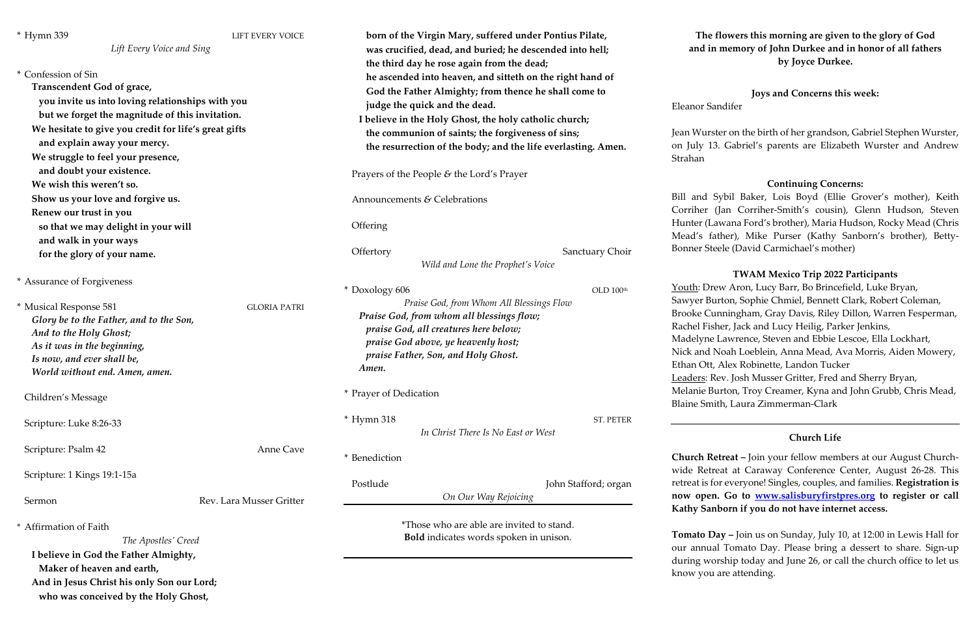| * Hymn 339                                                                                                                                                                                                                                                                                                           | LIFT EVERY VOICE<br>Lift Every Voice and Sing | born of the Virgin Mary, suffered under Pontius Pilate,<br>was crucified, dead, and buried; he descended into hell;                                                                                                                                                                                                                                                               |                                                                                                         | The f<br>and in                  |
|----------------------------------------------------------------------------------------------------------------------------------------------------------------------------------------------------------------------------------------------------------------------------------------------------------------------|-----------------------------------------------|-----------------------------------------------------------------------------------------------------------------------------------------------------------------------------------------------------------------------------------------------------------------------------------------------------------------------------------------------------------------------------------|---------------------------------------------------------------------------------------------------------|----------------------------------|
| * Confession of Sin<br>Transcendent God of grace,<br>you invite us into loving relationships with you<br>but we forget the magnitude of this invitation.<br>We hesitate to give you credit for life's great gifts<br>and explain away your mercy.<br>We struggle to feel your presence,<br>and doubt your existence. |                                               | the third day he rose again from the dead;<br>he ascended into heaven, and sitteth on the right hand of<br>God the Father Almighty; from thence he shall come to<br>judge the quick and the dead.<br>I believe in the Holy Ghost, the holy catholic church;<br>the communion of saints; the forgiveness of sins;<br>the resurrection of the body; and the life everlasting. Amen. | Eleanor Sar<br>Jean Wurst<br>on July 13.<br>Strahan                                                     |                                  |
|                                                                                                                                                                                                                                                                                                                      |                                               | Prayers of the People $\&$ the Lord's Prayer                                                                                                                                                                                                                                                                                                                                      |                                                                                                         |                                  |
| We wish this weren't so.                                                                                                                                                                                                                                                                                             |                                               |                                                                                                                                                                                                                                                                                                                                                                                   |                                                                                                         | Bill and S                       |
| Show us your love and forgive us.                                                                                                                                                                                                                                                                                    |                                               | Announcements & Celebrations                                                                                                                                                                                                                                                                                                                                                      |                                                                                                         | Corriher (J                      |
| Renew our trust in you<br>so that we may delight in your will                                                                                                                                                                                                                                                        |                                               | Offering                                                                                                                                                                                                                                                                                                                                                                          |                                                                                                         | Hunter (La<br>Mead's fat         |
| and walk in your ways<br>for the glory of your name.                                                                                                                                                                                                                                                                 |                                               | Offertory                                                                                                                                                                                                                                                                                                                                                                         | Sanctuary Choir                                                                                         | <b>Bonner</b> Stee               |
|                                                                                                                                                                                                                                                                                                                      |                                               |                                                                                                                                                                                                                                                                                                                                                                                   | Wild and Lone the Prophet's Voice                                                                       |                                  |
| * Assurance of Forgiveness                                                                                                                                                                                                                                                                                           |                                               | * Doxology 606                                                                                                                                                                                                                                                                                                                                                                    | OLD 100 <sup>th</sup>                                                                                   | Youth: Dre                       |
| * Musical Response 581<br><b>GLORIA PATRI</b><br>Glory be to the Father, and to the Son,<br>And to the Holy Ghost;<br>As it was in the beginning,<br>Is now, and ever shall be,<br>World without end. Amen, amen.                                                                                                    |                                               | Praise God, from Whom All Blessings Flow<br>Praise God, from whom all blessings flow;<br>praise God, all creatures here below;<br>praise God above, ye heavenly host;<br>praise Father, Son, and Holy Ghost.<br>Amen.                                                                                                                                                             | Sawyer Bur<br><b>Brooke Cur</b><br>Rachel Fish<br>Madelyne I<br>Nick and N<br>Ethan Ott,<br>Leaders: Re |                                  |
| Children's Message                                                                                                                                                                                                                                                                                                   |                                               | * Prayer of Dedication                                                                                                                                                                                                                                                                                                                                                            |                                                                                                         | Melanie Bu<br><b>Blaine Smit</b> |
| Scripture: Luke 8:26-33                                                                                                                                                                                                                                                                                              |                                               | $*$ Hymn 318                                                                                                                                                                                                                                                                                                                                                                      | ST. PETER<br>In Christ There Is No East or West                                                         |                                  |
| Scripture: Psalm 42                                                                                                                                                                                                                                                                                                  | Anne Cave                                     | * Benediction                                                                                                                                                                                                                                                                                                                                                                     |                                                                                                         | Church Ret                       |
| Scripture: 1 Kings 19:1-15a                                                                                                                                                                                                                                                                                          |                                               | Postlude                                                                                                                                                                                                                                                                                                                                                                          | John Stafford; organ                                                                                    | wide Retre<br>retreat is for     |
| Sermon                                                                                                                                                                                                                                                                                                               | Rev. Lara Musser Gritter                      |                                                                                                                                                                                                                                                                                                                                                                                   | On Our Way Rejoicing                                                                                    | now open.<br><b>Kathy Sank</b>   |
| * Affirmation of Faith<br>The Apostles' Creed<br>I believe in God the Father Almighty,                                                                                                                                                                                                                               |                                               | *Those who are able are invited to stand.<br>Bold indicates words spoken in unison.                                                                                                                                                                                                                                                                                               |                                                                                                         | <b>Tomato Da</b><br>our annual   |
| Maker of heaven and earth,<br>And in Jesus Christ his only Son our Lord;<br>who was conceived by the Holy Ghost,                                                                                                                                                                                                     |                                               |                                                                                                                                                                                                                                                                                                                                                                                   |                                                                                                         | during wor<br>know you a         |

### **The flowers this morning are given to the glory of God and in memory of John Durkee and in honor of all fathers by Joyce Durkee.**

## **Joys and Concerns this week:**

ndifer

ter on the birth of her grandson, Gabriel Stephen Wurster, Gabriel's parents are Elizabeth Wurster and Andrew

#### **Continuing Concerns:**

iybil Baker, Lois Boyd (Ellie Grover's mother), Keith Jan Corriher-Smith's cousin), Glenn Hudson, Steven wana Ford's brother), Maria Hudson, Rocky Mead (Chris ther), Mike Purser (Kathy Sanborn's brother), Bettyele (David Carmichael's mother)

#### **TWAM Mexico Trip 2022 Participants**

w Aron, Lucy Barr, Bo Brincefield, Luke Bryan, rton, Sophie Chmiel, Bennett Clark, Robert Coleman, nningham, Gray Davis, Riley Dillon, Warren Fesperman, ner, Jack and Lucy Heilig, Parker Jenkins, Lawrence, Steven and Ebbie Lescoe, Ella Lockhart, Voah Loeblein, Anna Mead, Ava Morris, Aiden Mowery, Alex Robinette, Landon Tucker ev. Josh Musser Gritter, Fred and Sherry Bryan, arton, Troy Creamer, Kyna and John Grubb, Chris Mead, th, Laura Zimmerman-Clark

#### **Church Life**

**Church -** Join your fellow members at our August Churcheat at Caraway Conference Center, August 26-28. This retreat is for everyone! Singles, couples, and families. **Registration is now open. Go to [www.salisburyfirstpres.org](http://www.salisburyfirstpres.org/) to register or call**  born if you do not have internet access.

**Ay** – Join us on Sunday, July 10, at 12:00 in Lewis Hall for Tomato Day. Please bring a dessert to share. Sign-up rship today and June 26, or call the church office to let us are attending.